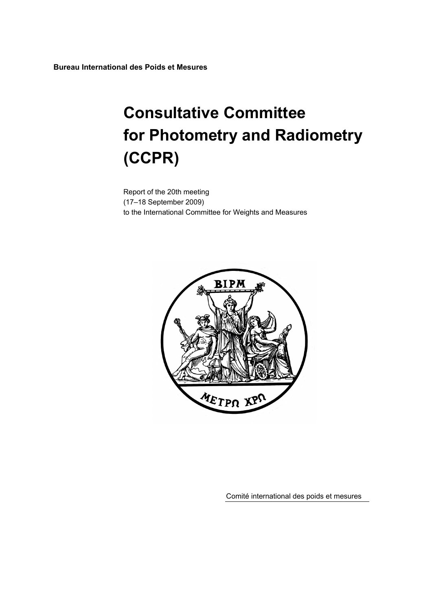**Bureau International des Poids et Mesures** 

# **Consultative Committee for Photometry and Radiometry (CCPR)**

Report of the 20th meeting (17–18 September 2009) to the International Committee for Weights and Measures



Comité international des poids et mesures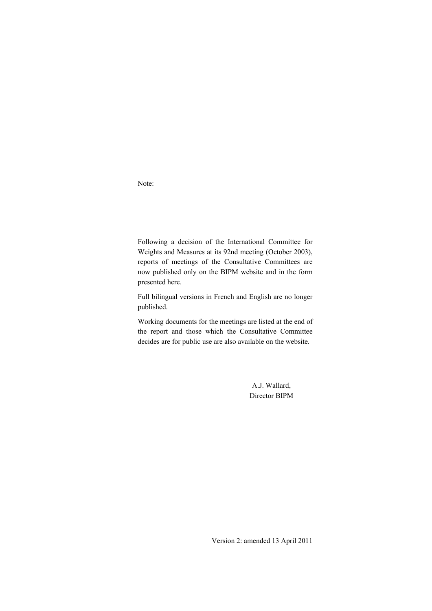Note:

Following a decision of the International Committee for Weights and Measures at its 92nd meeting (October 2003), reports of meetings of the Consultative Committees are now published only on the BIPM website and in the form presented here.

Full bilingual versions in French and English are no longer published.

Working documents for the meetings are listed at the end of the report and those which the Consultative Committee decides are for public use are also available on the website.

> A.J. Wallard, Director BIPM

Version 2: amended 13 April 2011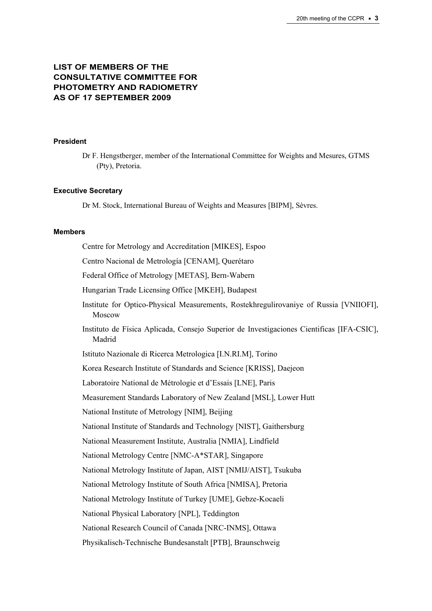# **LIST OF MEMBERS OF THE CONSULTATIVE COMMITTEE FOR PHOTOMETRY AND RADIOMETRY AS OF 17 SEPTEMBER 2009**

#### **President**

Dr F. Hengstberger, member of the International Committee for Weights and Mesures, GTMS (Pty), Pretoria.

#### **Executive Secretary**

Dr M. Stock, International Bureau of Weights and Measures [BIPM], Sèvres.

#### **Members**

Centre for Metrology and Accreditation [MIKES], Espoo

Centro Nacional de Metrología [CENAM], Querétaro

Federal Office of Metrology [METAS], Bern-Wabern

Hungarian Trade Licensing Office [MKEH], Budapest

- Institute for Optico-Physical Measurements, Rostekhregulirovaniye of Russia [VNIIOFI], Moscow
- Instituto de Física Aplicada, Consejo Superior de Investigaciones Cientificas [IFA-CSIC], Madrid

Istituto Nazionale di Ricerca Metrologica [I.N.RI.M], Torino

Korea Research Institute of Standards and Science [KRISS], Daejeon

Laboratoire National de Métrologie et d'Essais [LNE], Paris

Measurement Standards Laboratory of New Zealand [MSL], Lower Hutt

National Institute of Metrology [NIM], Beijing

National Institute of Standards and Technology [NIST], Gaithersburg

National Measurement Institute, Australia [NMIA], Lindfield

National Metrology Centre [NMC-A\*STAR], Singapore

National Metrology Institute of Japan, AIST [NMIJ/AIST], Tsukuba

National Metrology Institute of South Africa [NMISA], Pretoria

National Metrology Institute of Turkey [UME], Gebze-Kocaeli

National Physical Laboratory [NPL], Teddington

National Research Council of Canada [NRC-INMS], Ottawa

Physikalisch-Technische Bundesanstalt [PTB], Braunschweig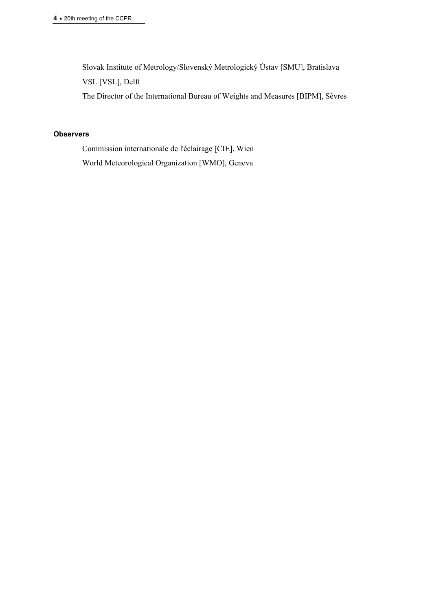Slovak Institute of Metrology/Slovenský Metrologický Ústav [SMU], Bratislava

VSL [VSL], Delft

The Director of the International Bureau of Weights and Measures [BIPM], Sèvres

## **Observers**

Commission internationale de l'éclairage [CIE], Wien World Meteorological Organization [WMO], Geneva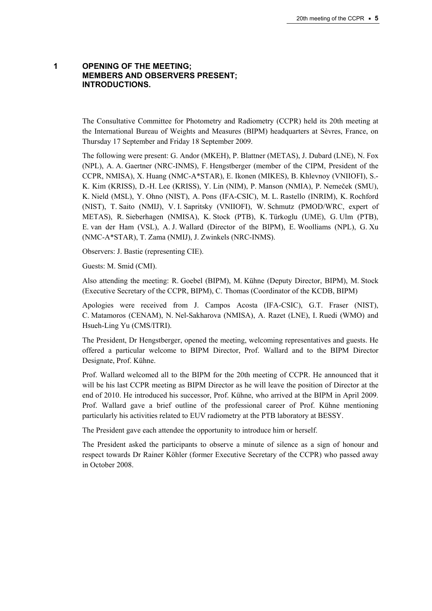## **1 OPENING OF THE MEETING; MEMBERS AND OBSERVERS PRESENT; INTRODUCTIONS.**

The Consultative Committee for Photometry and Radiometry (CCPR) held its 20th meeting at the International Bureau of Weights and Measures (BIPM) headquarters at Sèvres, France, on Thursday 17 September and Friday 18 September 2009.

The following were present: G. Andor (MKEH), P. Blattner (METAS), J. Dubard (LNE), N. Fox (NPL), A. A. Gaertner (NRC-INMS), F. Hengstberger (member of the CIPM, President of the CCPR, NMISA), X. Huang (NMC-A\*STAR), E. Ikonen (MIKES), B. Khlevnoy (VNIIOFI), S.- K. Kim (KRISS), D.-H. Lee (KRISS), Y. Lin (NIM), P. Manson (NMIA), P. Nemeček (SMU), K. Nield (MSL), Y. Ohno (NIST), A. Pons (IFA-CSIC), M. L. Rastello (INRIM), K. Rochford (NIST), T. Saito (NMIJ), V. I. Sapritsky (VNIIOFI), W. Schmutz (PMOD/WRC, expert of METAS), R. Sieberhagen (NMISA), K. Stock (PTB), K. Türkoglu (UME), G. Ulm (PTB), E. van der Ham (VSL), A. J. Wallard (Director of the BIPM), E. Woolliams (NPL), G. Xu (NMC-A\*STAR), T. Zama (NMIJ), J. Zwinkels (NRC-INMS).

Observers: J. Bastie (representing CIE).

Guests: M. Smid (CMI).

Also attending the meeting: R. Goebel (BIPM), M. Kühne (Deputy Director, BIPM), M. Stock (Executive Secretary of the CCPR, BIPM), C. Thomas (Coordinator of the KCDB, BIPM)

Apologies were received from J. Campos Acosta (IFA-CSIC), G.T. Fraser (NIST), C. Matamoros (CENAM), N. Nel-Sakharova (NMISA), A. Razet (LNE), I. Ruedi (WMO) and Hsueh-Ling Yu (CMS/ITRI).

The President, Dr Hengstberger, opened the meeting, welcoming representatives and guests. He offered a particular welcome to BIPM Director, Prof. Wallard and to the BIPM Director Designate, Prof. Kühne.

Prof. Wallard welcomed all to the BIPM for the 20th meeting of CCPR. He announced that it will be his last CCPR meeting as BIPM Director as he will leave the position of Director at the end of 2010. He introduced his successor, Prof. Kühne, who arrived at the BIPM in April 2009. Prof. Wallard gave a brief outline of the professional career of Prof. Kühne mentioning particularly his activities related to EUV radiometry at the PTB laboratory at BESSY.

The President gave each attendee the opportunity to introduce him or herself.

The President asked the participants to observe a minute of silence as a sign of honour and respect towards Dr Rainer Köhler (former Executive Secretary of the CCPR) who passed away in October 2008.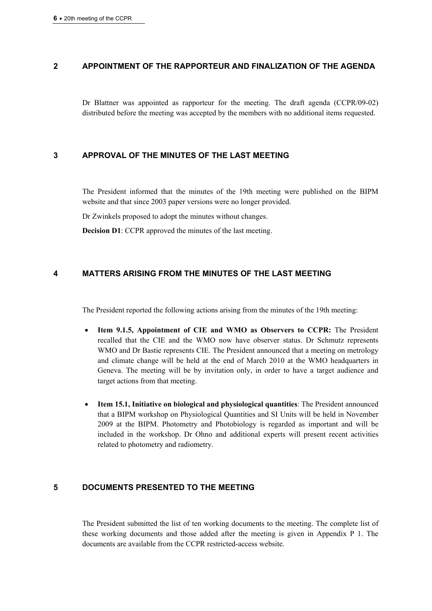## **2 APPOINTMENT OF THE RAPPORTEUR AND FINALIZATION OF THE AGENDA**

Dr Blattner was appointed as rapporteur for the meeting. The draft agenda (CCPR/09-02) distributed before the meeting was accepted by the members with no additional items requested.

## **3 APPROVAL OF THE MINUTES OF THE LAST MEETING**

The President informed that the minutes of the 19th meeting were published on the BIPM website and that since 2003 paper versions were no longer provided.

Dr Zwinkels proposed to adopt the minutes without changes.

**Decision D1**: CCPR approved the minutes of the last meeting.

## **4 MATTERS ARISING FROM THE MINUTES OF THE LAST MEETING**

The President reported the following actions arising from the minutes of the 19th meeting:

- **Item 9.1.5, Appointment of CIE and WMO as Observers to CCPR:** The President recalled that the CIE and the WMO now have observer status. Dr Schmutz represents WMO and Dr Bastie represents CIE. The President announced that a meeting on metrology and climate change will be held at the end of March 2010 at the WMO headquarters in Geneva. The meeting will be by invitation only, in order to have a target audience and target actions from that meeting.
- **Item 15.1, Initiative on biological and physiological quantities**: The President announced that a BIPM workshop on Physiological Quantities and SI Units will be held in November 2009 at the BIPM. Photometry and Photobiology is regarded as important and will be included in the workshop. Dr Ohno and additional experts will present recent activities related to photometry and radiometry.

## **5 DOCUMENTS PRESENTED TO THE MEETING**

The President submitted the list of ten working documents to the meeting. The complete list of these working documents and those added after the meeting is given in Appendix P 1. The documents are available from the CCPR restricted-access website.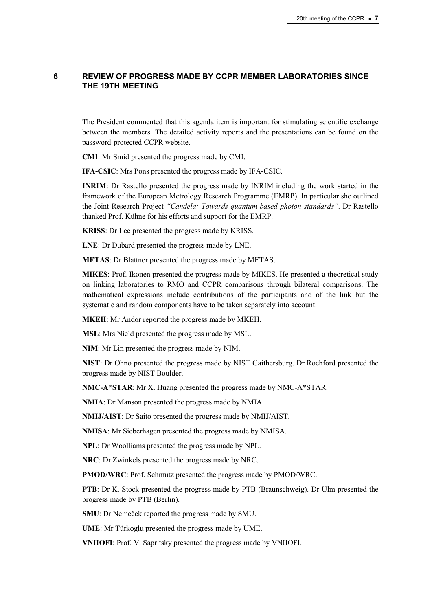## **6 REVIEW OF PROGRESS MADE BY CCPR MEMBER LABORATORIES SINCE THE 19TH MEETING**

The President commented that this agenda item is important for stimulating scientific exchange between the members. The detailed activity reports and the presentations can be found on the password-protected CCPR website.

**CMI**: Mr Smid presented the progress made by CMI.

**IFA-CSIC**: Mrs Pons presented the progress made by IFA-CSIC.

**INRIM**: Dr Rastello presented the progress made by INRIM including the work started in the framework of the European Metrology Research Programme (EMRP). In particular she outlined the Joint Research Project *"Candela: Towards quantum-based photon standards"*. Dr Rastello thanked Prof. Kühne for his efforts and support for the EMRP.

**KRISS**: Dr Lee presented the progress made by KRISS.

**LNE**: Dr Dubard presented the progress made by LNE.

**METAS**: Dr Blattner presented the progress made by METAS.

**MIKES**: Prof. Ikonen presented the progress made by MIKES. He presented a theoretical study on linking laboratories to RMO and CCPR comparisons through bilateral comparisons. The mathematical expressions include contributions of the participants and of the link but the systematic and random components have to be taken separately into account.

**MKEH**: Mr Andor reported the progress made by MKEH.

**MSL**: Mrs Nield presented the progress made by MSL.

**NIM**: Mr Lin presented the progress made by NIM.

**NIST**: Dr Ohno presented the progress made by NIST Gaithersburg. Dr Rochford presented the progress made by NIST Boulder.

**NMC-A\*STAR**: Mr X. Huang presented the progress made by NMC-A\*STAR.

**NMIA**: Dr Manson presented the progress made by NMIA.

**NMIJ/AIST**: Dr Saito presented the progress made by NMIJ/AIST.

**NMISA**: Mr Sieberhagen presented the progress made by NMISA.

**NPL**: Dr Woolliams presented the progress made by NPL.

**NRC**: Dr Zwinkels presented the progress made by NRC.

**PMOD/WRC**: Prof. Schmutz presented the progress made by PMOD/WRC.

**PTB**: Dr K. Stock presented the progress made by PTB (Braunschweig). Dr Ulm presented the progress made by PTB (Berlin).

**SMU**: Dr Nemeček reported the progress made by SMU.

**UME**: Mr Türkoglu presented the progress made by UME.

**VNIIOFI**: Prof. V. Sapritsky presented the progress made by VNIIOFI.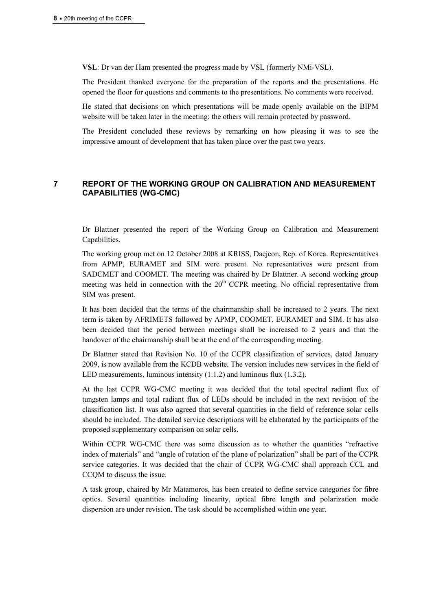**VSL**: Dr van der Ham presented the progress made by VSL (formerly NMi-VSL).

The President thanked everyone for the preparation of the reports and the presentations. He opened the floor for questions and comments to the presentations. No comments were received.

He stated that decisions on which presentations will be made openly available on the BIPM website will be taken later in the meeting; the others will remain protected by password.

The President concluded these reviews by remarking on how pleasing it was to see the impressive amount of development that has taken place over the past two years.

## **7 REPORT OF THE WORKING GROUP ON CALIBRATION AND MEASUREMENT CAPABILITIES (WG-CMC)**

Dr Blattner presented the report of the Working Group on Calibration and Measurement Capabilities.

The working group met on 12 October 2008 at KRISS, Daejeon, Rep. of Korea. Representatives from APMP, EURAMET and SIM were present. No representatives were present from SADCMET and COOMET. The meeting was chaired by Dr Blattner. A second working group meeting was held in connection with the  $20<sup>th</sup> CCPR$  meeting. No official representative from SIM was present.

It has been decided that the terms of the chairmanship shall be increased to 2 years. The next term is taken by AFRIMETS followed by APMP, COOMET, EURAMET and SIM. It has also been decided that the period between meetings shall be increased to 2 years and that the handover of the chairmanship shall be at the end of the corresponding meeting.

Dr Blattner stated that Revision No. 10 of the CCPR classification of services, dated January 2009, is now available from the KCDB website. The version includes new services in the field of LED measurements, luminous intensity (1.1.2) and luminous flux (1.3.2).

At the last CCPR WG-CMC meeting it was decided that the total spectral radiant flux of tungsten lamps and total radiant flux of LEDs should be included in the next revision of the classification list. It was also agreed that several quantities in the field of reference solar cells should be included. The detailed service descriptions will be elaborated by the participants of the proposed supplementary comparison on solar cells.

Within CCPR WG-CMC there was some discussion as to whether the quantities "refractive index of materials" and "angle of rotation of the plane of polarization" shall be part of the CCPR service categories. It was decided that the chair of CCPR WG-CMC shall approach CCL and CCQM to discuss the issue.

A task group, chaired by Mr Matamoros, has been created to define service categories for fibre optics. Several quantities including linearity, optical fibre length and polarization mode dispersion are under revision. The task should be accomplished within one year.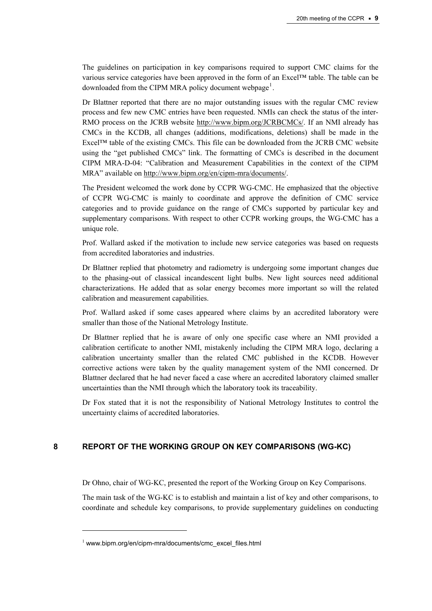The guidelines on participation in key comparisons required to support CMC claims for the various service categories have been approved in the form of an Excel™ table. The table can be downloaded from the CIPM MRA policy document webpage<sup>[1](#page-8-0)</sup>.

Dr Blattner reported that there are no major outstanding issues with the regular CMC review process and few new CMC entries have been requested. NMIs can check the status of the inter-RMO process on the JCRB website [http://www.bipm.org/JCRBCMCs/](https://www.bipm.org/JCRBCMCs/). If an NMI already has CMCs in the KCDB, all changes (additions, modifications, deletions) shall be made in the Excel™ table of the existing CMCs. This file can be downloaded from the JCRB CMC website using the "get published CMCs" link. The formatting of CMCs is described in the document CIPM MRA-D-04: "Calibration and Measurement Capabilities in the context of the CIPM MRA" available on [http://www.bipm.org/en/cipm-mra/documents/.](https://www.bipm.org/en/cipm-mra/documents/)

The President welcomed the work done by CCPR WG-CMC. He emphasized that the objective of CCPR WG-CMC is mainly to coordinate and approve the definition of CMC service categories and to provide guidance on the range of CMCs supported by particular key and supplementary comparisons. With respect to other CCPR working groups, the WG-CMC has a unique role.

Prof. Wallard asked if the motivation to include new service categories was based on requests from accredited laboratories and industries.

Dr Blattner replied that photometry and radiometry is undergoing some important changes due to the phasing-out of classical incandescent light bulbs. New light sources need additional characterizations. He added that as solar energy becomes more important so will the related calibration and measurement capabilities.

Prof. Wallard asked if some cases appeared where claims by an accredited laboratory were smaller than those of the National Metrology Institute.

Dr Blattner replied that he is aware of only one specific case where an NMI provided a calibration certificate to another NMI, mistakenly including the CIPM MRA logo, declaring a calibration uncertainty smaller than the related CMC published in the KCDB. However corrective actions were taken by the quality management system of the NMI concerned. Dr Blattner declared that he had never faced a case where an accredited laboratory claimed smaller uncertainties than the NMI through which the laboratory took its traceability.

Dr Fox stated that it is not the responsibility of National Metrology Institutes to control the uncertainty claims of accredited laboratories.

## **8 REPORT OF THE WORKING GROUP ON KEY COMPARISONS (WG-KC)**

Dr Ohno, chair of WG-KC, presented the report of the Working Group on Key Comparisons.

The main task of the WG-KC is to establish and maintain a list of key and other comparisons, to coordinate and schedule key comparisons, to provide supplementary guidelines on conducting

 $\overline{a}$ 

<span id="page-8-0"></span><sup>1</sup> www.bipm.org/en/cipm-mra/documents/cmc\_excel\_files.html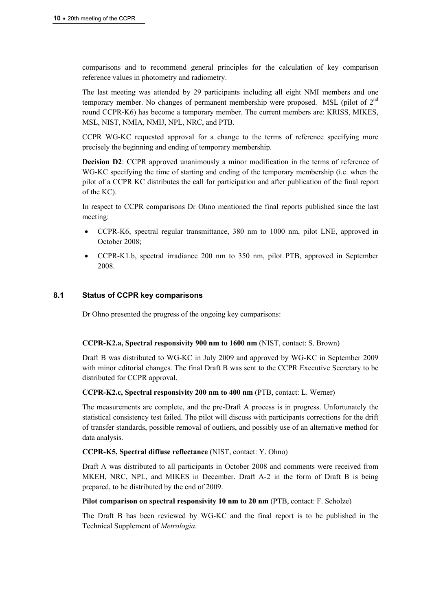comparisons and to recommend general principles for the calculation of key comparison reference values in photometry and radiometry.

The last meeting was attended by 29 participants including all eight NMI members and one temporary member. No changes of permanent membership were proposed. MSL (pilot of  $2<sup>nd</sup>$ round CCPR-K6) has become a temporary member. The current members are: KRISS, MIKES, MSL, NIST, NMIA, NMIJ, NPL, NRC, and PTB.

CCPR WG-KC requested approval for a change to the terms of reference specifying more precisely the beginning and ending of temporary membership.

**Decision D2**: CCPR approved unanimously a minor modification in the terms of reference of WG-KC specifying the time of starting and ending of the temporary membership (i.e. when the pilot of a CCPR KC distributes the call for participation and after publication of the final report of the KC).

In respect to CCPR comparisons Dr Ohno mentioned the final reports published since the last meeting:

- CCPR-K6, spectral regular transmittance, 380 nm to 1000 nm, pilot LNE, approved in October 2008;
- CCPR-K1.b, spectral irradiance 200 nm to 350 nm, pilot PTB, approved in September 2008.

#### **8.1 Status of CCPR key comparisons**

Dr Ohno presented the progress of the ongoing key comparisons:

#### **CCPR-K2.a, Spectral responsivity 900 nm to 1600 nm** (NIST, contact: S. Brown)

Draft B was distributed to WG-KC in July 2009 and approved by WG-KC in September 2009 with minor editorial changes. The final Draft B was sent to the CCPR Executive Secretary to be distributed for CCPR approval.

#### **CCPR-K2.c, Spectral responsivity 200 nm to 400 nm** (PTB, contact: L. Werner)

The measurements are complete, and the pre-Draft A process is in progress. Unfortunately the statistical consistency test failed. The pilot will discuss with participants corrections for the drift of transfer standards, possible removal of outliers, and possibly use of an alternative method for data analysis.

#### **CCPR-K5, Spectral diffuse reflectance** (NIST, contact: Y. Ohno)

Draft A was distributed to all participants in October 2008 and comments were received from MKEH, NRC, NPL, and MIKES in December. Draft A-2 in the form of Draft B is being prepared, to be distributed by the end of 2009.

#### **Pilot comparison on spectral responsivity 10 nm to 20 nm** (PTB, contact: F. Scholze)

The Draft B has been reviewed by WG-KC and the final report is to be published in the Technical Supplement of *Metrologia*.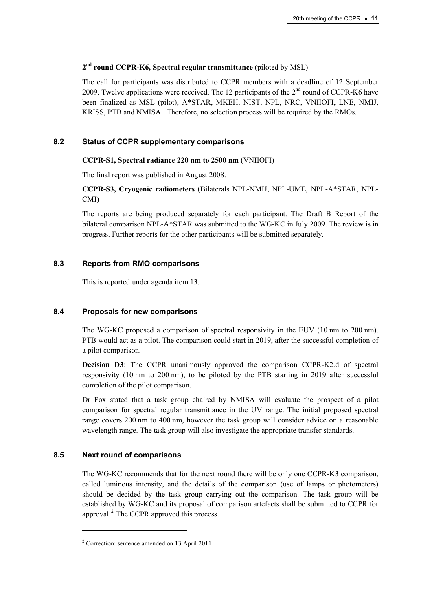# **2nd round CCPR-K6, Spectral regular transmittance** (piloted by MSL)

The call for participants was distributed to CCPR members with a deadline of 12 September 2009. Twelve applications were received. The 12 participants of the  $2<sup>nd</sup>$  round of CCPR-K6 have been finalized as MSL (pilot), A\*STAR, MKEH, NIST, NPL, NRC, VNIIOFI, LNE, NMIJ, KRISS, PTB and NMISA. Therefore, no selection process will be required by the RMOs.

## **8.2 Status of CCPR supplementary comparisons**

## **CCPR-S1, Spectral radiance 220 nm to 2500 nm** (VNIIOFI)

The final report was published in August 2008.

**CCPR-S3, Cryogenic radiometers** (Bilaterals NPL-NMIJ, NPL-UME, NPL-A\*STAR, NPL-CMI)

The reports are being produced separately for each participant. The Draft B Report of the bilateral comparison NPL-A\*STAR was submitted to the WG-KC in July 2009. The review is in progress. Further reports for the other participants will be submitted separately.

## **8.3 Reports from RMO comparisons**

This is reported under agenda item 13.

## **8.4 Proposals for new comparisons**

The WG-KC proposed a comparison of spectral responsivity in the EUV (10 nm to 200 nm). PTB would act as a pilot. The comparison could start in 2019, after the successful completion of a pilot comparison.

**Decision D3**: The CCPR unanimously approved the comparison CCPR-K2.d of spectral responsivity (10 nm to 200 nm), to be piloted by the PTB starting in 2019 after successful completion of the pilot comparison.

Dr Fox stated that a task group chaired by NMISA will evaluate the prospect of a pilot comparison for spectral regular transmittance in the UV range. The initial proposed spectral range covers 200 nm to 400 nm, however the task group will consider advice on a reasonable wavelength range. The task group will also investigate the appropriate transfer standards.

## **8.5 Next round of comparisons**

 $\overline{a}$ 

The WG-KC recommends that for the next round there will be only one CCPR-K3 comparison, called luminous intensity, and the details of the comparison (use of lamps or photometers) should be decided by the task group carrying out the comparison. The task group will be established by WG-KC and its proposal of comparison artefacts shall be submitted to CCPR for approval. $<sup>2</sup>$  $<sup>2</sup>$  $<sup>2</sup>$  The CCPR approved this process.</sup>

<span id="page-10-0"></span><sup>2</sup> Correction: sentence amended on 13 April 2011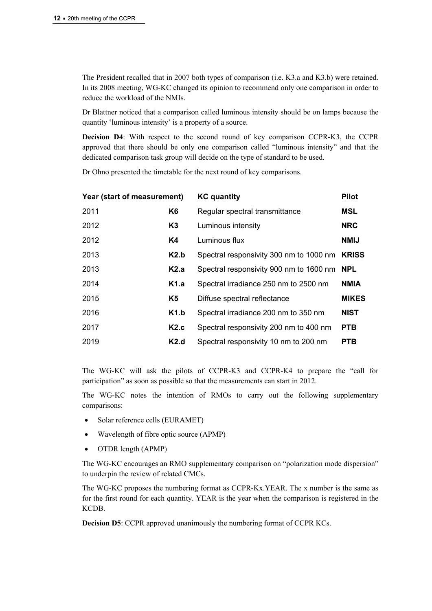The President recalled that in 2007 both types of comparison (i.e. K3.a and K3.b) were retained. In its 2008 meeting, WG-KC changed its opinion to recommend only one comparison in order to reduce the workload of the NMIs.

Dr Blattner noticed that a comparison called luminous intensity should be on lamps because the quantity 'luminous intensity' is a property of a source.

**Decision D4**: With respect to the second round of key comparison CCPR-K3, the CCPR approved that there should be only one comparison called "luminous intensity" and that the dedicated comparison task group will decide on the type of standard to be used.

Dr Ohno presented the timetable for the next round of key comparisons.

| Year (start of measurement) |                | <b>KC</b> quantity                      | <b>Pilot</b> |
|-----------------------------|----------------|-----------------------------------------|--------------|
| 2011                        | K <sub>6</sub> | Regular spectral transmittance          | <b>MSL</b>   |
| 2012                        | K <sub>3</sub> | Luminous intensity                      | <b>NRC</b>   |
| 2012                        | K4             | Luminous flux                           | <b>NMIJ</b>  |
| 2013                        | K2.b           | Spectral responsivity 300 nm to 1000 nm | <b>KRISS</b> |
| 2013                        | K2.a           | Spectral responsivity 900 nm to 1600 nm | <b>NPL</b>   |
| 2014                        | K1.a           | Spectral irradiance 250 nm to 2500 nm   | <b>NMIA</b>  |
| 2015                        | K5             | Diffuse spectral reflectance            | <b>MIKES</b> |
| 2016                        | K1.b           | Spectral irradiance 200 nm to 350 nm    | <b>NIST</b>  |
| 2017                        | K2.c           | Spectral responsivity 200 nm to 400 nm  | <b>PTB</b>   |
| 2019                        | K2.d           | Spectral responsivity 10 nm to 200 nm   | <b>PTB</b>   |

The WG-KC will ask the pilots of CCPR-K3 and CCPR-K4 to prepare the "call for participation" as soon as possible so that the measurements can start in 2012.

The WG-KC notes the intention of RMOs to carry out the following supplementary comparisons:

- Solar reference cells (EURAMET)
- Wavelength of fibre optic source (APMP)
- OTDR length (APMP)

The WG-KC encourages an RMO supplementary comparison on "polarization mode dispersion" to underpin the review of related CMCs.

The WG-KC proposes the numbering format as CCPR-Kx.YEAR. The x number is the same as for the first round for each quantity. YEAR is the year when the comparison is registered in the KCDB.

**Decision D5**: CCPR approved unanimously the numbering format of CCPR KCs.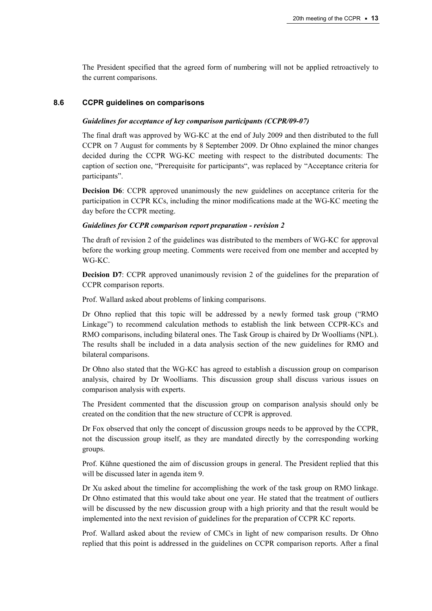The President specified that the agreed form of numbering will not be applied retroactively to the current comparisons.

#### **8.6 CCPR guidelines on comparisons**

#### *Guidelines for acceptance of key comparison participants (CCPR/09-07)*

The final draft was approved by WG-KC at the end of July 2009 and then distributed to the full CCPR on 7 August for comments by 8 September 2009. Dr Ohno explained the minor changes decided during the CCPR WG-KC meeting with respect to the distributed documents: The caption of section one, "Prerequisite for participants", was replaced by "Acceptance criteria for participants".

**Decision D6**: CCPR approved unanimously the new guidelines on acceptance criteria for the participation in CCPR KCs, including the minor modifications made at the WG-KC meeting the day before the CCPR meeting.

#### *Guidelines for CCPR comparison report preparation - revision 2*

The draft of revision 2 of the guidelines was distributed to the members of WG-KC for approval before the working group meeting. Comments were received from one member and accepted by WG-KC.

**Decision D7**: CCPR approved unanimously revision 2 of the guidelines for the preparation of CCPR comparison reports.

Prof. Wallard asked about problems of linking comparisons.

Dr Ohno replied that this topic will be addressed by a newly formed task group ("RMO Linkage") to recommend calculation methods to establish the link between CCPR-KCs and RMO comparisons, including bilateral ones. The Task Group is chaired by Dr Woolliams (NPL). The results shall be included in a data analysis section of the new guidelines for RMO and bilateral comparisons.

Dr Ohno also stated that the WG-KC has agreed to establish a discussion group on comparison analysis, chaired by Dr Woolliams. This discussion group shall discuss various issues on comparison analysis with experts.

The President commented that the discussion group on comparison analysis should only be created on the condition that the new structure of CCPR is approved.

Dr Fox observed that only the concept of discussion groups needs to be approved by the CCPR, not the discussion group itself, as they are mandated directly by the corresponding working groups.

Prof. Kühne questioned the aim of discussion groups in general. The President replied that this will be discussed later in agenda item 9.

Dr Xu asked about the timeline for accomplishing the work of the task group on RMO linkage. Dr Ohno estimated that this would take about one year. He stated that the treatment of outliers will be discussed by the new discussion group with a high priority and that the result would be implemented into the next revision of guidelines for the preparation of CCPR KC reports.

Prof. Wallard asked about the review of CMCs in light of new comparison results. Dr Ohno replied that this point is addressed in the guidelines on CCPR comparison reports. After a final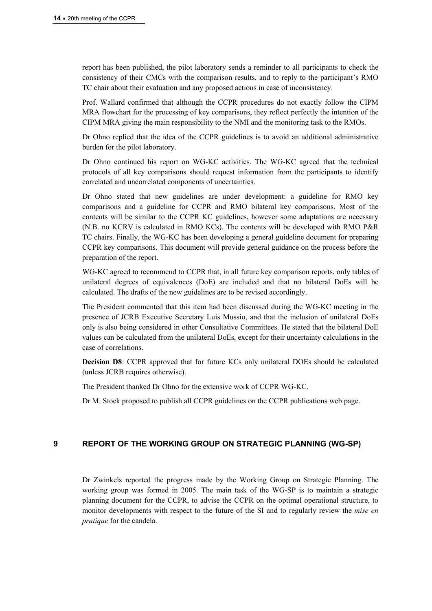report has been published, the pilot laboratory sends a reminder to all participants to check the consistency of their CMCs with the comparison results, and to reply to the participant's RMO TC chair about their evaluation and any proposed actions in case of inconsistency.

Prof. Wallard confirmed that although the CCPR procedures do not exactly follow the CIPM MRA flowchart for the processing of key comparisons, they reflect perfectly the intention of the CIPM MRA giving the main responsibility to the NMI and the monitoring task to the RMOs.

Dr Ohno replied that the idea of the CCPR guidelines is to avoid an additional administrative burden for the pilot laboratory.

Dr Ohno continued his report on WG-KC activities. The WG-KC agreed that the technical protocols of all key comparisons should request information from the participants to identify correlated and uncorrelated components of uncertainties.

Dr Ohno stated that new guidelines are under development: a guideline for RMO key comparisons and a guideline for CCPR and RMO bilateral key comparisons. Most of the contents will be similar to the CCPR KC guidelines, however some adaptations are necessary (N.B. no KCRV is calculated in RMO KCs). The contents will be developed with RMO P&R TC chairs. Finally, the WG-KC has been developing a general guideline document for preparing CCPR key comparisons. This document will provide general guidance on the process before the preparation of the report.

WG-KC agreed to recommend to CCPR that, in all future key comparison reports, only tables of unilateral degrees of equivalences (DoE) are included and that no bilateral DoEs will be calculated. The drafts of the new guidelines are to be revised accordingly.

The President commented that this item had been discussed during the WG-KC meeting in the presence of JCRB Executive Secretary Luis Mussio, and that the inclusion of unilateral DoEs only is also being considered in other Consultative Committees. He stated that the bilateral DoE values can be calculated from the unilateral DoEs, except for their uncertainty calculations in the case of correlations.

**Decision D8**: CCPR approved that for future KCs only unilateral DOEs should be calculated (unless JCRB requires otherwise).

The President thanked Dr Ohno for the extensive work of CCPR WG-KC.

Dr M. Stock proposed to publish all CCPR guidelines on the CCPR publications web page.

## **9 REPORT OF THE WORKING GROUP ON STRATEGIC PLANNING (WG-SP)**

Dr Zwinkels reported the progress made by the Working Group on Strategic Planning. The working group was formed in 2005. The main task of the WG-SP is to maintain a strategic planning document for the CCPR, to advise the CCPR on the optimal operational structure, to monitor developments with respect to the future of the SI and to regularly review the *mise en pratique* for the candela.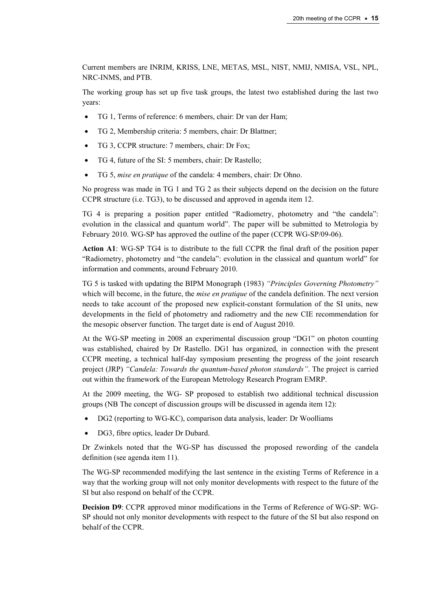Current members are INRIM, KRISS, LNE, METAS, MSL, NIST, NMIJ, NMISA, VSL, NPL, NRC-INMS, and PTB.

The working group has set up five task groups, the latest two established during the last two years:

- TG 1, Terms of reference: 6 members, chair: Dr van der Ham;
- TG 2, Membership criteria: 5 members, chair: Dr Blattner;
- TG 3, CCPR structure: 7 members, chair: Dr Fox;
- TG 4, future of the SI: 5 members, chair: Dr Rastello;
- TG 5, *mise en pratique* of the candela: 4 members, chair: Dr Ohno.

No progress was made in TG 1 and TG 2 as their subjects depend on the decision on the future CCPR structure (i.e. TG3), to be discussed and approved in agenda item 12.

TG 4 is preparing a position paper entitled "Radiometry, photometry and "the candela": evolution in the classical and quantum world". The paper will be submitted to Metrologia by February 2010. WG-SP has approved the outline of the paper (CCPR WG-SP/09-06).

**Action A1**: WG-SP TG4 is to distribute to the full CCPR the final draft of the position paper "Radiometry, photometry and "the candela": evolution in the classical and quantum world" for information and comments, around February 2010.

TG 5 is tasked with updating the BIPM Monograph (1983) *"Principles Governing Photometry"* which will become, in the future, the *mise en pratique* of the candela definition. The next version needs to take account of the proposed new explicit-constant formulation of the SI units, new developments in the field of photometry and radiometry and the new CIE recommendation for the mesopic observer function. The target date is end of August 2010.

At the WG-SP meeting in 2008 an experimental discussion group "DG1" on photon counting was established, chaired by Dr Rastello. DG1 has organized, in connection with the present CCPR meeting, a technical half-day symposium presenting the progress of the joint research project (JRP) *"Candela: Towards the quantum-based photon standards"*. The project is carried out within the framework of the European Metrology Research Program EMRP.

At the 2009 meeting, the WG- SP proposed to establish two additional technical discussion groups (NB The concept of discussion groups will be discussed in agenda item 12):

- DG2 (reporting to WG-KC), comparison data analysis, leader: Dr Woolliams
- DG3, fibre optics, leader Dr Dubard.

Dr Zwinkels noted that the WG-SP has discussed the proposed rewording of the candela definition (see agenda item 11).

The WG-SP recommended modifying the last sentence in the existing Terms of Reference in a way that the working group will not only monitor developments with respect to the future of the SI but also respond on behalf of the CCPR.

**Decision D9**: CCPR approved minor modifications in the Terms of Reference of WG-SP: WG-SP should not only monitor developments with respect to the future of the SI but also respond on behalf of the CCPR.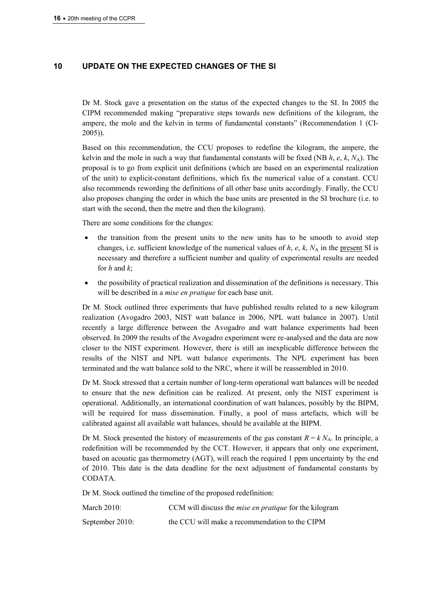## **10 UPDATE ON THE EXPECTED CHANGES OF THE SI**

Dr M. Stock gave a presentation on the status of the expected changes to the SI. In 2005 the CIPM recommended making "preparative steps towards new definitions of the kilogram, the ampere, the mole and the kelvin in terms of fundamental constants" (Recommendation 1 (CI-2005)).

Based on this recommendation, the CCU proposes to redefine the kilogram, the ampere, the kelvin and the mole in such a way that fundamental constants will be fixed (NB *h*, *e*, *k*, *N*A). The proposal is to go from explicit unit definitions (which are based on an experimental realization of the unit) to explicit-constant definitions, which fix the numerical value of a constant. CCU also recommends rewording the definitions of all other base units accordingly. Finally, the CCU also proposes changing the order in which the base units are presented in the SI brochure (i.e. to start with the second, then the metre and then the kilogram).

There are some conditions for the changes:

- the transition from the present units to the new units has to be smooth to avoid step changes, i.e. sufficient knowledge of the numerical values of  $h$ ,  $e$ ,  $k$ ,  $N_A$  in the present SI is necessary and therefore a sufficient number and quality of experimental results are needed for *h* and *k*;
- the possibility of practical realization and dissemination of the definitions is necessary. This will be described in a *mise en pratique* for each base unit.

Dr M. Stock outlined three experiments that have published results related to a new kilogram realization (Avogadro 2003, NIST watt balance in 2006, NPL watt balance in 2007). Until recently a large difference between the Avogadro and watt balance experiments had been observed. In 2009 the results of the Avogadro experiment were re-analysed and the data are now closer to the NIST experiment. However, there is still an inexplicable difference between the results of the NIST and NPL watt balance experiments. The NPL experiment has been terminated and the watt balance sold to the NRC, where it will be reassembled in 2010.

Dr M. Stock stressed that a certain number of long-term operational watt balances will be needed to ensure that the new definition can be realized. At present, only the NIST experiment is operational. Additionally, an international coordination of watt balances, possibly by the BIPM, will be required for mass dissemination. Finally, a pool of mass artefacts, which will be calibrated against all available watt balances, should be available at the BIPM.

Dr M. Stock presented the history of measurements of the gas constant  $R = k N_A$ . In principle, a redefinition will be recommended by the CCT. However, it appears that only one experiment, based on acoustic gas thermometry (AGT), will reach the required 1 ppm uncertainty by the end of 2010. This date is the data deadline for the next adjustment of fundamental constants by CODATA.

Dr M. Stock outlined the timeline of the proposed redefinition:

| March $2010$ :  | CCM will discuss the <i>mise en pratique</i> for the kilogram |
|-----------------|---------------------------------------------------------------|
| September 2010: | the CCU will make a recommendation to the CIPM                |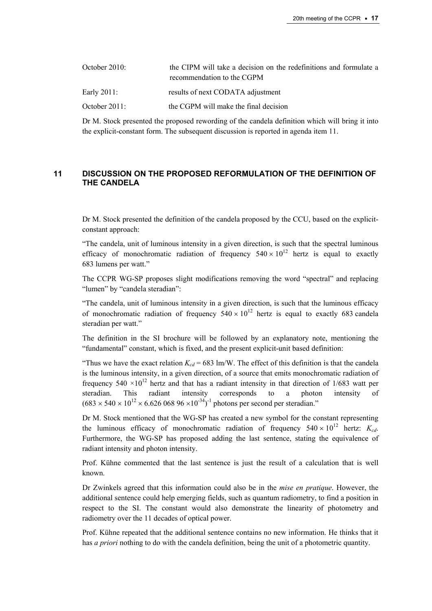| October $2010$ : | the CIPM will take a decision on the redefinitions and formulate a<br>recommendation to the CGPM |
|------------------|--------------------------------------------------------------------------------------------------|
| Early 2011:      | results of next CODATA adjustment                                                                |
| October $2011$ : | the CGPM will make the final decision                                                            |

Dr M. Stock presented the proposed rewording of the candela definition which will bring it into the explicit-constant form. The subsequent discussion is reported in agenda item 11.

## **11 DISCUSSION ON THE PROPOSED REFORMULATION OF THE DEFINITION OF THE CANDELA**

Dr M. Stock presented the definition of the candela proposed by the CCU, based on the explicitconstant approach:

"The candela, unit of luminous intensity in a given direction, is such that the spectral luminous efficacy of monochromatic radiation of frequency  $540 \times 10^{12}$  hertz is equal to exactly 683 lumens per watt."

The CCPR WG-SP proposes slight modifications removing the word "spectral" and replacing "lumen" by "candela steradian":

"The candela, unit of luminous intensity in a given direction, is such that the luminous efficacy of monochromatic radiation of frequency  $540 \times 10^{12}$  hertz is equal to exactly 683 candela steradian per watt."

The definition in the SI brochure will be followed by an explanatory note, mentioning the "fundamental" constant, which is fixed, and the present explicit-unit based definition:

"Thus we have the exact relation  $K_{cd}$  = 683 lm/W. The effect of this definition is that the candela is the luminous intensity, in a given direction, of a source that emits monochromatic radiation of frequency 540  $\times$ 10<sup>12</sup> hertz and that has a radiant intensity in that direction of 1/683 watt per steradian. This radiant intensity corresponds to a photon intensity of  $(683 \times 540 \times 10^{12} \times 6.626\,068\,96 \times 10^{-34})^{-1}$  photons per second per steradian."

Dr M. Stock mentioned that the WG-SP has created a new symbol for the constant representing the luminous efficacy of monochromatic radiation of frequency  $540 \times 10^{12}$  hertz:  $K_{cd}$ . Furthermore, the WG-SP has proposed adding the last sentence, stating the equivalence of radiant intensity and photon intensity.

Prof. Kühne commented that the last sentence is just the result of a calculation that is well known.

Dr Zwinkels agreed that this information could also be in the *mise en pratique*. However, the additional sentence could help emerging fields, such as quantum radiometry, to find a position in respect to the SI. The constant would also demonstrate the linearity of photometry and radiometry over the 11 decades of optical power.

Prof. Kühne repeated that the additional sentence contains no new information. He thinks that it has *a priori* nothing to do with the candela definition, being the unit of a photometric quantity.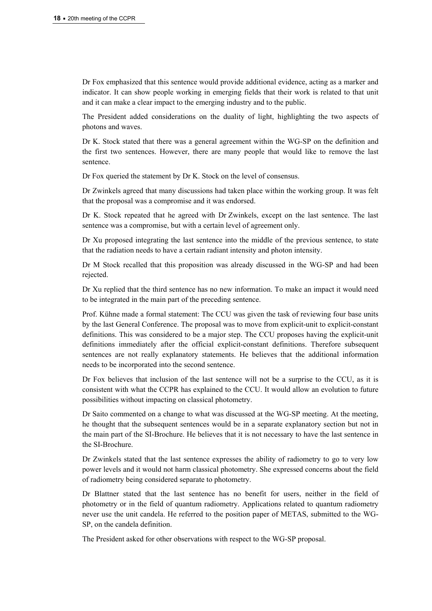Dr Fox emphasized that this sentence would provide additional evidence, acting as a marker and indicator. It can show people working in emerging fields that their work is related to that unit and it can make a clear impact to the emerging industry and to the public.

The President added considerations on the duality of light, highlighting the two aspects of photons and waves.

Dr K. Stock stated that there was a general agreement within the WG-SP on the definition and the first two sentences. However, there are many people that would like to remove the last sentence.

Dr Fox queried the statement by Dr K. Stock on the level of consensus.

Dr Zwinkels agreed that many discussions had taken place within the working group. It was felt that the proposal was a compromise and it was endorsed.

Dr K. Stock repeated that he agreed with Dr Zwinkels, except on the last sentence. The last sentence was a compromise, but with a certain level of agreement only.

Dr Xu proposed integrating the last sentence into the middle of the previous sentence, to state that the radiation needs to have a certain radiant intensity and photon intensity.

Dr M Stock recalled that this proposition was already discussed in the WG-SP and had been rejected.

Dr Xu replied that the third sentence has no new information. To make an impact it would need to be integrated in the main part of the preceding sentence.

Prof. Kühne made a formal statement: The CCU was given the task of reviewing four base units by the last General Conference. The proposal was to move from explicit-unit to explicit-constant definitions. This was considered to be a major step. The CCU proposes having the explicit-unit definitions immediately after the official explicit-constant definitions. Therefore subsequent sentences are not really explanatory statements. He believes that the additional information needs to be incorporated into the second sentence.

Dr Fox believes that inclusion of the last sentence will not be a surprise to the CCU, as it is consistent with what the CCPR has explained to the CCU. It would allow an evolution to future possibilities without impacting on classical photometry.

Dr Saito commented on a change to what was discussed at the WG-SP meeting. At the meeting, he thought that the subsequent sentences would be in a separate explanatory section but not in the main part of the SI-Brochure. He believes that it is not necessary to have the last sentence in the SI-Brochure.

Dr Zwinkels stated that the last sentence expresses the ability of radiometry to go to very low power levels and it would not harm classical photometry. She expressed concerns about the field of radiometry being considered separate to photometry.

Dr Blattner stated that the last sentence has no benefit for users, neither in the field of photometry or in the field of quantum radiometry. Applications related to quantum radiometry never use the unit candela. He referred to the position paper of METAS, submitted to the WG-SP, on the candela definition.

The President asked for other observations with respect to the WG-SP proposal.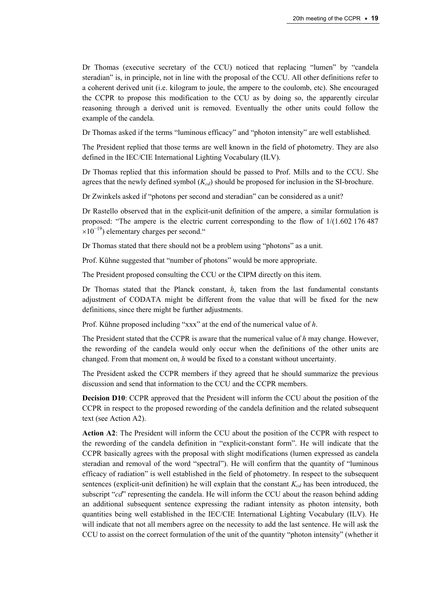Dr Thomas (executive secretary of the CCU) noticed that replacing "lumen" by "candela steradian" is, in principle, not in line with the proposal of the CCU. All other definitions refer to a coherent derived unit (i.e. kilogram to joule, the ampere to the coulomb, etc). She encouraged the CCPR to propose this modification to the CCU as by doing so, the apparently circular reasoning through a derived unit is removed. Eventually the other units could follow the example of the candela.

Dr Thomas asked if the terms "luminous efficacy" and "photon intensity" are well established.

The President replied that those terms are well known in the field of photometry. They are also defined in the IEC/CIE International Lighting Vocabulary (ILV).

Dr Thomas replied that this information should be passed to Prof. Mills and to the CCU. She agrees that the newly defined symbol ( $K_{cd}$ ) should be proposed for inclusion in the SI-brochure.

Dr Zwinkels asked if "photons per second and steradian" can be considered as a unit?

Dr Rastello observed that in the explicit-unit definition of the ampere, a similar formulation is proposed: "The ampere is the electric current corresponding to the flow of 1/(1.602 176 487  $\times 10^{-19}$ ) elementary charges per second."

Dr Thomas stated that there should not be a problem using "photons" as a unit.

Prof. Kühne suggested that "number of photons" would be more appropriate.

The President proposed consulting the CCU or the CIPM directly on this item.

Dr Thomas stated that the Planck constant, *h*, taken from the last fundamental constants adjustment of CODATA might be different from the value that will be fixed for the new definitions, since there might be further adjustments.

Prof. Kühne proposed including "xxx" at the end of the numerical value of *h*.

The President stated that the CCPR is aware that the numerical value of *h* may change. However, the rewording of the candela would only occur when the definitions of the other units are changed. From that moment on, *h* would be fixed to a constant without uncertainty.

The President asked the CCPR members if they agreed that he should summarize the previous discussion and send that information to the CCU and the CCPR members.

**Decision D10**: CCPR approved that the President will inform the CCU about the position of the CCPR in respect to the proposed rewording of the candela definition and the related subsequent text (see Action A2).

**Action A2**: The President will inform the CCU about the position of the CCPR with respect to the rewording of the candela definition in "explicit-constant form". He will indicate that the CCPR basically agrees with the proposal with slight modifications (lumen expressed as candela steradian and removal of the word "spectral"). He will confirm that the quantity of "luminous efficacy of radiation" is well established in the field of photometry. In respect to the subsequent sentences (explicit-unit definition) he will explain that the constant  $K_{cd}$  has been introduced, the subscript "*cd*" representing the candela. He will inform the CCU about the reason behind adding an additional subsequent sentence expressing the radiant intensity as photon intensity, both quantities being well established in the IEC/CIE International Lighting Vocabulary (ILV). He will indicate that not all members agree on the necessity to add the last sentence. He will ask the CCU to assist on the correct formulation of the unit of the quantity "photon intensity" (whether it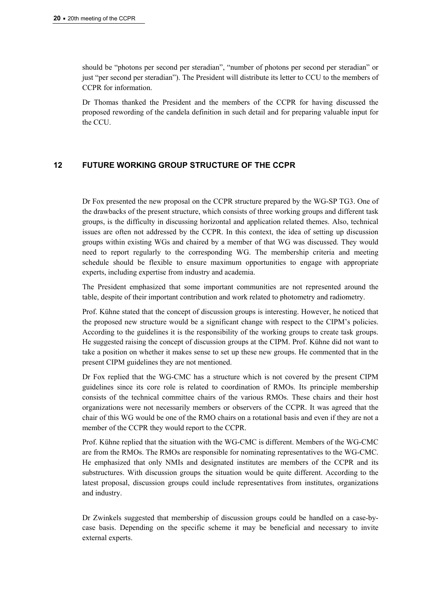should be "photons per second per steradian", "number of photons per second per steradian" or just "per second per steradian"). The President will distribute its letter to CCU to the members of CCPR for information.

Dr Thomas thanked the President and the members of the CCPR for having discussed the proposed rewording of the candela definition in such detail and for preparing valuable input for the CCU.

## **12 FUTURE WORKING GROUP STRUCTURE OF THE CCPR**

Dr Fox presented the new proposal on the CCPR structure prepared by the WG-SP TG3. One of the drawbacks of the present structure, which consists of three working groups and different task groups, is the difficulty in discussing horizontal and application related themes. Also, technical issues are often not addressed by the CCPR. In this context, the idea of setting up discussion groups within existing WGs and chaired by a member of that WG was discussed. They would need to report regularly to the corresponding WG. The membership criteria and meeting schedule should be flexible to ensure maximum opportunities to engage with appropriate experts, including expertise from industry and academia.

The President emphasized that some important communities are not represented around the table, despite of their important contribution and work related to photometry and radiometry.

Prof. Kühne stated that the concept of discussion groups is interesting. However, he noticed that the proposed new structure would be a significant change with respect to the CIPM's policies. According to the guidelines it is the responsibility of the working groups to create task groups. He suggested raising the concept of discussion groups at the CIPM. Prof. Kühne did not want to take a position on whether it makes sense to set up these new groups. He commented that in the present CIPM guidelines they are not mentioned.

Dr Fox replied that the WG-CMC has a structure which is not covered by the present CIPM guidelines since its core role is related to coordination of RMOs. Its principle membership consists of the technical committee chairs of the various RMOs. These chairs and their host organizations were not necessarily members or observers of the CCPR. It was agreed that the chair of this WG would be one of the RMO chairs on a rotational basis and even if they are not a member of the CCPR they would report to the CCPR.

Prof. Kühne replied that the situation with the WG-CMC is different. Members of the WG-CMC are from the RMOs. The RMOs are responsible for nominating representatives to the WG-CMC. He emphasized that only NMIs and designated institutes are members of the CCPR and its substructures. With discussion groups the situation would be quite different. According to the latest proposal, discussion groups could include representatives from institutes, organizations and industry.

Dr Zwinkels suggested that membership of discussion groups could be handled on a case-bycase basis. Depending on the specific scheme it may be beneficial and necessary to invite external experts.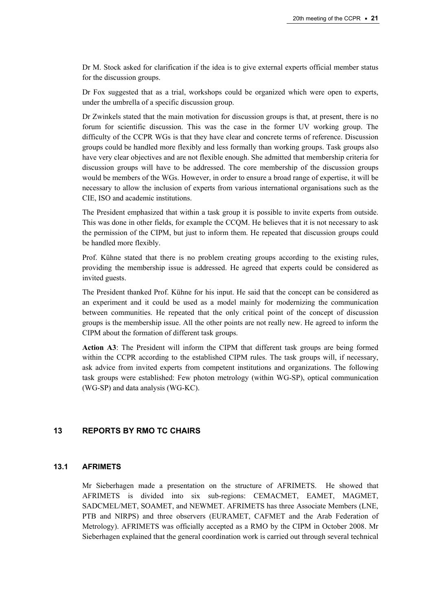Dr M. Stock asked for clarification if the idea is to give external experts official member status for the discussion groups.

Dr Fox suggested that as a trial, workshops could be organized which were open to experts, under the umbrella of a specific discussion group.

Dr Zwinkels stated that the main motivation for discussion groups is that, at present, there is no forum for scientific discussion. This was the case in the former UV working group. The difficulty of the CCPR WGs is that they have clear and concrete terms of reference. Discussion groups could be handled more flexibly and less formally than working groups. Task groups also have very clear objectives and are not flexible enough. She admitted that membership criteria for discussion groups will have to be addressed. The core membership of the discussion groups would be members of the WGs. However, in order to ensure a broad range of expertise, it will be necessary to allow the inclusion of experts from various international organisations such as the CIE, ISO and academic institutions.

The President emphasized that within a task group it is possible to invite experts from outside. This was done in other fields, for example the CCQM. He believes that it is not necessary to ask the permission of the CIPM, but just to inform them. He repeated that discussion groups could be handled more flexibly.

Prof. Kühne stated that there is no problem creating groups according to the existing rules, providing the membership issue is addressed. He agreed that experts could be considered as invited guests.

The President thanked Prof. Kühne for his input. He said that the concept can be considered as an experiment and it could be used as a model mainly for modernizing the communication between communities. He repeated that the only critical point of the concept of discussion groups is the membership issue. All the other points are not really new. He agreed to inform the CIPM about the formation of different task groups.

**Action A3**: The President will inform the CIPM that different task groups are being formed within the CCPR according to the established CIPM rules. The task groups will, if necessary, ask advice from invited experts from competent institutions and organizations. The following task groups were established: Few photon metrology (within WG-SP), optical communication (WG-SP) and data analysis (WG-KC).

## **13 REPORTS BY RMO TC CHAIRS**

#### **13.1 AFRIMETS**

Mr Sieberhagen made a presentation on the structure of AFRIMETS. He showed that AFRIMETS is divided into six sub-regions: CEMACMET, EAMET, MAGMET, SADCMEL/MET, SOAMET, and NEWMET. AFRIMETS has three Associate Members (LNE, PTB and NIRPS) and three observers (EURAMET, CAFMET and the Arab Federation of Metrology). AFRIMETS was officially accepted as a RMO by the CIPM in October 2008. Mr Sieberhagen explained that the general coordination work is carried out through several technical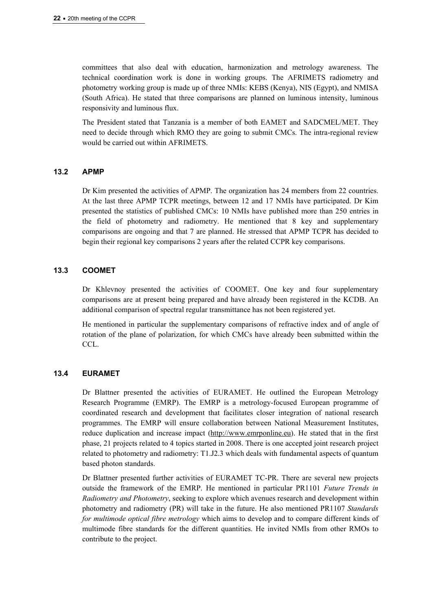committees that also deal with education, harmonization and metrology awareness. The technical coordination work is done in working groups. The AFRIMETS radiometry and photometry working group is made up of three NMIs: KEBS (Kenya), NIS (Egypt), and NMISA (South Africa). He stated that three comparisons are planned on luminous intensity, luminous responsivity and luminous flux.

The President stated that Tanzania is a member of both EAMET and SADCMEL/MET. They need to decide through which RMO they are going to submit CMCs. The intra-regional review would be carried out within AFRIMETS.

## **13.2 APMP**

Dr Kim presented the activities of APMP. The organization has 24 members from 22 countries. At the last three APMP TCPR meetings, between 12 and 17 NMIs have participated. Dr Kim presented the statistics of published CMCs: 10 NMIs have published more than 250 entries in the field of photometry and radiometry. He mentioned that 8 key and supplementary comparisons are ongoing and that 7 are planned. He stressed that APMP TCPR has decided to begin their regional key comparisons 2 years after the related CCPR key comparisons.

## **13.3 COOMET**

Dr Khlevnoy presented the activities of COOMET. One key and four supplementary comparisons are at present being prepared and have already been registered in the KCDB. An additional comparison of spectral regular transmittance has not been registered yet.

He mentioned in particular the supplementary comparisons of refractive index and of angle of rotation of the plane of polarization, for which CMCs have already been submitted within the CCL.

## **13.4 EURAMET**

Dr Blattner presented the activities of EURAMET. He outlined the European Metrology Research Programme (EMRP). The EMRP is a metrology-focused European programme of coordinated research and development that facilitates closer integration of national research programmes. The EMRP will ensure collaboration between National Measurement Institutes, reduce duplication and increase impact [\(http://www.emrponline.eu](http://www.emrponline.eu/)). He stated that in the first phase, 21 projects related to 4 topics started in 2008. There is one accepted joint research project related to photometry and radiometry: T1.J2.3 which deals with fundamental aspects of quantum based photon standards.

Dr Blattner presented further activities of EURAMET TC-PR. There are several new projects outside the framework of the EMRP. He mentioned in particular PR1101 *Future Trends in Radiometry and Photometry*, seeking to explore which avenues research and development within photometry and radiometry (PR) will take in the future. He also mentioned PR1107 *Standards for multimode optical fibre metrology* which aims to develop and to compare different kinds of multimode fibre standards for the different quantities. He invited NMIs from other RMOs to contribute to the project.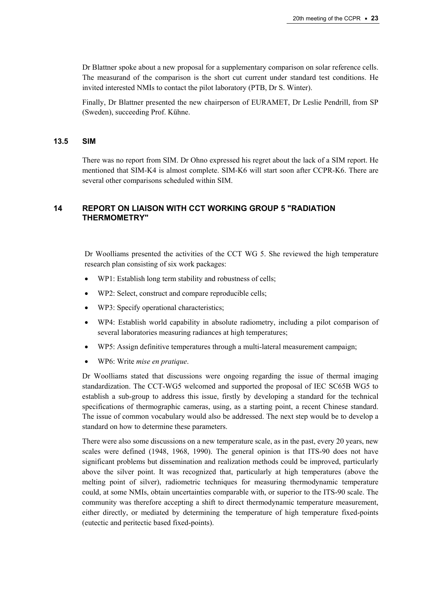Dr Blattner spoke about a new proposal for a supplementary comparison on solar reference cells. The measurand of the comparison is the short cut current under standard test conditions. He invited interested NMIs to contact the pilot laboratory (PTB, Dr S. Winter).

Finally, Dr Blattner presented the new chairperson of EURAMET, Dr Leslie Pendrill, from SP (Sweden), succeeding Prof. Kühne.

#### **13.5 SIM**

There was no report from SIM. Dr Ohno expressed his regret about the lack of a SIM report. He mentioned that SIM-K4 is almost complete. SIM-K6 will start soon after CCPR-K6. There are several other comparisons scheduled within SIM.

#### **14 REPORT ON LIAISON WITH CCT WORKING GROUP 5 "RADIATION THERMOMETRY"**

Dr Woolliams presented the activities of the CCT WG 5. She reviewed the high temperature research plan consisting of six work packages:

- WP1: Establish long term stability and robustness of cells;
- WP2: Select, construct and compare reproducible cells;
- WP3: Specify operational characteristics:
- WP4: Establish world capability in absolute radiometry, including a pilot comparison of several laboratories measuring radiances at high temperatures;
- WP5: Assign definitive temperatures through a multi-lateral measurement campaign;
- WP6: Write *mise en pratique*.

Dr Woolliams stated that discussions were ongoing regarding the issue of thermal imaging standardization. The CCT-WG5 welcomed and supported the proposal of IEC SC65B WG5 to establish a sub-group to address this issue, firstly by developing a standard for the technical specifications of thermographic cameras, using, as a starting point, a recent Chinese standard. The issue of common vocabulary would also be addressed. The next step would be to develop a standard on how to determine these parameters.

There were also some discussions on a new temperature scale, as in the past, every 20 years, new scales were defined (1948, 1968, 1990). The general opinion is that ITS-90 does not have significant problems but dissemination and realization methods could be improved, particularly above the silver point. It was recognized that, particularly at high temperatures (above the melting point of silver), radiometric techniques for measuring thermodynamic temperature could, at some NMIs, obtain uncertainties comparable with, or superior to the ITS-90 scale. The community was therefore accepting a shift to direct thermodynamic temperature measurement, either directly, or mediated by determining the temperature of high temperature fixed-points (eutectic and peritectic based fixed-points).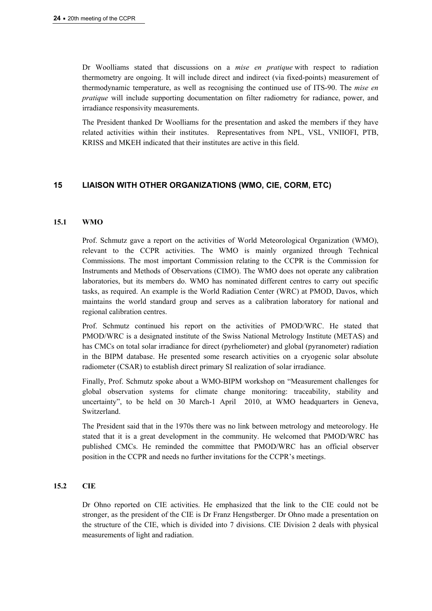Dr Woolliams stated that discussions on a *mise en pratique* with respect to radiation thermometry are ongoing. It will include direct and indirect (via fixed-points) measurement of thermodynamic temperature, as well as recognising the continued use of ITS-90. The *mise en pratique* will include supporting documentation on filter radiometry for radiance, power, and irradiance responsivity measurements.

The President thanked Dr Woolliams for the presentation and asked the members if they have related activities within their institutes. Representatives from NPL, VSL, VNIIOFI, PTB, KRISS and MKEH indicated that their institutes are active in this field.

## **15 LIAISON WITH OTHER ORGANIZATIONS (WMO, CIE, CORM, ETC)**

#### **15.1 WMO**

Prof. Schmutz gave a report on the activities of World Meteorological Organization (WMO), relevant to the CCPR activities. The WMO is mainly organized through Technical Commissions. The most important Commission relating to the CCPR is the Commission for Instruments and Methods of Observations (CIMO). The WMO does not operate any calibration laboratories, but its members do. WMO has nominated different centres to carry out specific tasks, as required. An example is the World Radiation Center (WRC) at PMOD, Davos, which maintains the world standard group and serves as a calibration laboratory for national and regional calibration centres.

Prof. Schmutz continued his report on the activities of PMOD/WRC. He stated that PMOD/WRC is a designated institute of the Swiss National Metrology Institute (METAS) and has CMCs on total solar irradiance for direct (pyrheliometer) and global (pyranometer) radiation in the BIPM database. He presented some research activities on a cryogenic solar absolute radiometer (CSAR) to establish direct primary SI realization of solar irradiance.

Finally, Prof. Schmutz spoke about a WMO-BIPM workshop on "Measurement challenges for global observation systems for climate change monitoring: traceability, stability and uncertainty", to be held on 30 March-1 April 2010, at WMO headquarters in Geneva, Switzerland.

The President said that in the 1970s there was no link between metrology and meteorology. He stated that it is a great development in the community. He welcomed that PMOD/WRC has published CMCs. He reminded the committee that PMOD/WRC has an official observer position in the CCPR and needs no further invitations for the CCPR's meetings.

## **15.2 CIE**

Dr Ohno reported on CIE activities. He emphasized that the link to the CIE could not be stronger, as the president of the CIE is Dr Franz Hengstberger. Dr Ohno made a presentation on the structure of the CIE, which is divided into 7 divisions. CIE Division 2 deals with physical measurements of light and radiation.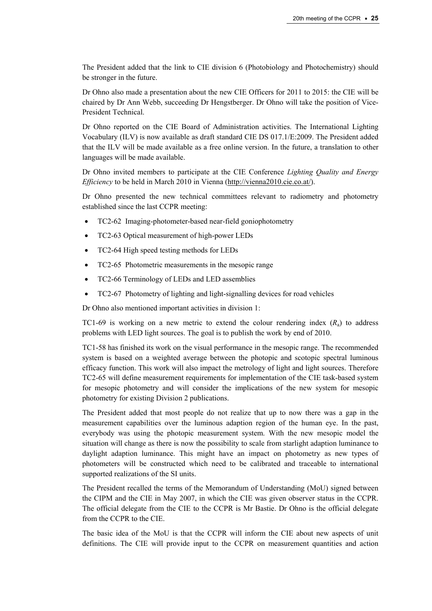The President added that the link to CIE division 6 (Photobiology and Photochemistry) should be stronger in the future.

Dr Ohno also made a presentation about the new CIE Officers for 2011 to 2015: the CIE will be chaired by Dr Ann Webb, succeeding Dr Hengstberger. Dr Ohno will take the position of Vice-President Technical.

Dr Ohno reported on the CIE Board of Administration activities. The International Lighting Vocabulary (ILV) is now available as draft standard CIE DS 017.1/E:2009. The President added that the ILV will be made available as a free online version. In the future, a translation to other languages will be made available.

Dr Ohno invited members to participate at the CIE Conference *Lighting Quality and Energy Efficiency* to be held in March 2010 in Vienna ([http://vienna2010.cie.co.at/\)](http://vienna2010.cie.co.at/).

Dr Ohno presented the new technical committees relevant to radiometry and photometry established since the last CCPR meeting:

- TC2-62 Imaging-photometer-based near-field goniophotometry
- TC2-63 Optical measurement of high-power LEDs
- TC2-64 High speed testing methods for LEDs
- TC2-65 Photometric measurements in the mesopic range
- TC2-66 Terminology of LEDs and LED assemblies
- TC2-67 Photometry of lighting and light-signalling devices for road vehicles

Dr Ohno also mentioned important activities in division 1:

TC1-69 is working on a new metric to extend the colour rendering index  $(R<sub>a</sub>)$  to address problems with LED light sources. The goal is to publish the work by end of 2010.

TC1-58 has finished its work on the visual performance in the mesopic range. The recommended system is based on a weighted average between the photopic and scotopic spectral luminous efficacy function. This work will also impact the metrology of light and light sources. Therefore TC2-65 will define measurement requirements for implementation of the CIE task-based system for mesopic photometry and will consider the implications of the new system for mesopic photometry for existing Division 2 publications.

The President added that most people do not realize that up to now there was a gap in the measurement capabilities over the luminous adaption region of the human eye. In the past, everybody was using the photopic measurement system. With the new mesopic model the situation will change as there is now the possibility to scale from starlight adaption luminance to daylight adaption luminance. This might have an impact on photometry as new types of photometers will be constructed which need to be calibrated and traceable to international supported realizations of the SI units.

The President recalled the terms of the Memorandum of Understanding (MoU) signed between the CIPM and the CIE in May 2007, in which the CIE was given observer status in the CCPR. The official delegate from the CIE to the CCPR is Mr Bastie. Dr Ohno is the official delegate from the CCPR to the CIE.

The basic idea of the MoU is that the CCPR will inform the CIE about new aspects of unit definitions. The CIE will provide input to the CCPR on measurement quantities and action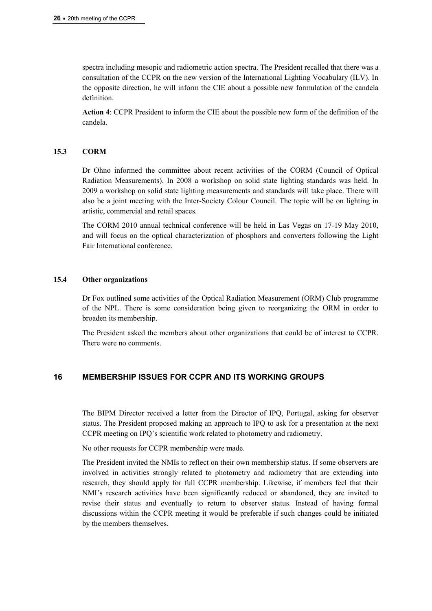spectra including mesopic and radiometric action spectra. The President recalled that there was a consultation of the CCPR on the new version of the International Lighting Vocabulary (ILV). In the opposite direction, he will inform the CIE about a possible new formulation of the candela definition.

**Action 4**: CCPR President to inform the CIE about the possible new form of the definition of the candela.

#### **15.3 CORM**

Dr Ohno informed the committee about recent activities of the CORM (Council of Optical Radiation Measurements). In 2008 a workshop on solid state lighting standards was held. In 2009 a workshop on solid state lighting measurements and standards will take place. There will also be a joint meeting with the Inter-Society Colour Council. The topic will be on lighting in artistic, commercial and retail spaces.

The CORM 2010 annual technical conference will be held in Las Vegas on 17-19 May 2010, and will focus on the optical characterization of phosphors and converters following the Light Fair International conference.

#### **15.4 Other organizations**

Dr Fox outlined some activities of the Optical Radiation Measurement (ORM) Club programme of the NPL. There is some consideration being given to reorganizing the ORM in order to broaden its membership.

The President asked the members about other organizations that could be of interest to CCPR. There were no comments.

## **16 MEMBERSHIP ISSUES FOR CCPR AND ITS WORKING GROUPS**

The BIPM Director received a letter from the Director of IPQ, Portugal, asking for observer status. The President proposed making an approach to IPQ to ask for a presentation at the next CCPR meeting on IPQ's scientific work related to photometry and radiometry.

No other requests for CCPR membership were made.

The President invited the NMIs to reflect on their own membership status. If some observers are involved in activities strongly related to photometry and radiometry that are extending into research, they should apply for full CCPR membership. Likewise, if members feel that their NMI's research activities have been significantly reduced or abandoned, they are invited to revise their status and eventually to return to observer status. Instead of having formal discussions within the CCPR meeting it would be preferable if such changes could be initiated by the members themselves.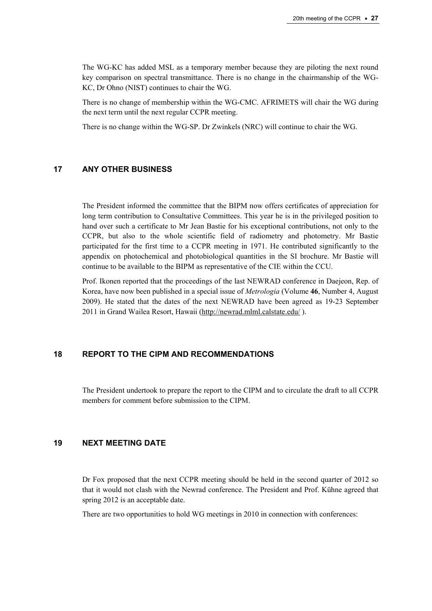The WG-KC has added MSL as a temporary member because they are piloting the next round key comparison on spectral transmittance. There is no change in the chairmanship of the WG-KC, Dr Ohno (NIST) continues to chair the WG.

There is no change of membership within the WG-CMC. AFRIMETS will chair the WG during the next term until the next regular CCPR meeting.

There is no change within the WG-SP. Dr Zwinkels (NRC) will continue to chair the WG.

#### **17 ANY OTHER BUSINESS**

The President informed the committee that the BIPM now offers certificates of appreciation for long term contribution to Consultative Committees. This year he is in the privileged position to hand over such a certificate to Mr Jean Bastie for his exceptional contributions, not only to the CCPR, but also to the whole scientific field of radiometry and photometry. Mr Bastie participated for the first time to a CCPR meeting in 1971. He contributed significantly to the appendix on photochemical and photobiological quantities in the SI brochure. Mr Bastie will continue to be available to the BIPM as representative of the CIE within the CCU.

Prof. Ikonen reported that the proceedings of the last NEWRAD conference in Daejeon, Rep. of Korea, have now been published in a special issue of *Metrologia* (Volume **46**, Number 4, August 2009). He stated that the dates of the next NEWRAD have been agreed as 19-23 September 2011 in Grand Wailea Resort, Hawaii [\(http://newrad.mlml.calstate.edu/](http://newrad.mlml.calstate.edu/) ).

# **18 REPORT TO THE CIPM AND RECOMMENDATIONS**

The President undertook to prepare the report to the CIPM and to circulate the draft to all CCPR members for comment before submission to the CIPM.

## **19 NEXT MEETING DATE**

Dr Fox proposed that the next CCPR meeting should be held in the second quarter of 2012 so that it would not clash with the Newrad conference. The President and Prof. Kühne agreed that spring 2012 is an acceptable date.

There are two opportunities to hold WG meetings in 2010 in connection with conferences: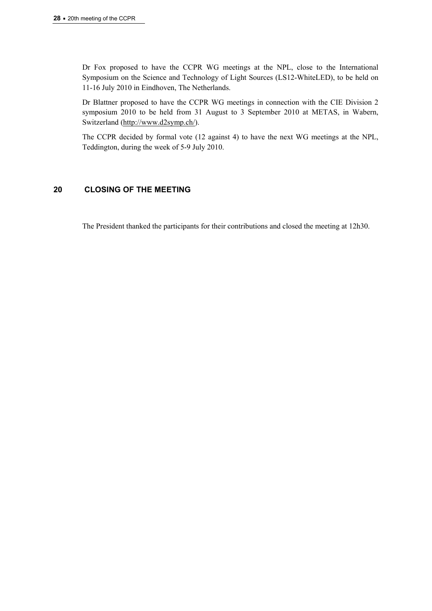Dr Fox proposed to have the CCPR WG meetings at the NPL, close to the International Symposium on the Science and Technology of Light Sources (LS12-WhiteLED), to be held on 11-16 July 2010 in Eindhoven, The Netherlands.

Dr Blattner proposed to have the CCPR WG meetings in connection with the CIE Division 2 symposium 2010 to be held from 31 August to 3 September 2010 at METAS, in Wabern, Switzerland ([http://www.d2symp.ch/\)](http://www.d2symp.ch/).

The CCPR decided by formal vote (12 against 4) to have the next WG meetings at the NPL, Teddington, during the week of 5-9 July 2010.

## **20 CLOSING OF THE MEETING**

The President thanked the participants for their contributions and closed the meeting at 12h30.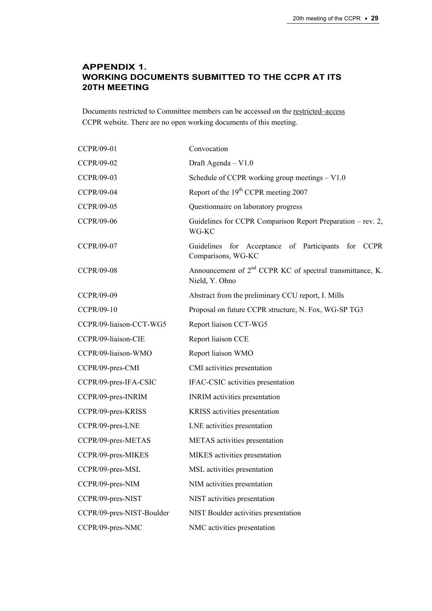# **APPENDIX 1. WORKING DOCUMENTS SUBMITTED TO THE CCPR AT ITS 20TH MEETING**

Documents restricted to Committee members can be accessed on the [restricted–access](https://www.bipm.org/cc/CCTF/Restricted/WorkingDocuments.jsp)  CCPR website. There are no open working documents of this meeting.

| CCPR/09-01                | Convocation                                                                    |
|---------------------------|--------------------------------------------------------------------------------|
| CCPR/09-02                | Draft Agenda - V1.0                                                            |
| CCPR/09-03                | Schedule of CCPR working group meetings $- V1.0$                               |
| <b>CCPR/09-04</b>         | Report of the 19 <sup>th</sup> CCPR meeting 2007                               |
| CCPR/09-05                | Questionnaire on laboratory progress                                           |
| CCPR/09-06                | Guidelines for CCPR Comparison Report Preparation – rev. 2,<br>WG-KC           |
| CCPR/09-07                | for Acceptance of Participants<br>for CCPR<br>Guidelines<br>Comparisons, WG-KC |
| <b>CCPR/09-08</b>         | Announcement of $2nd$ CCPR KC of spectral transmittance, K.<br>Nield, Y. Ohno  |
| CCPR/09-09                | Abstract from the preliminary CCU report, I. Mills                             |
| CCPR/09-10                | Proposal on future CCPR structure, N. Fox, WG-SP TG3                           |
| CCPR/09-liaison-CCT-WG5   | Report liaison CCT-WG5                                                         |
| CCPR/09-liaison-CIE       | Report liaison CCE                                                             |
| CCPR/09-liaison-WMO       | Report liaison WMO                                                             |
| CCPR/09-pres-CMI          | CMI activities presentation                                                    |
| CCPR/09-pres-IFA-CSIC     | IFAC-CSIC activities presentation                                              |
| CCPR/09-pres-INRIM        | <b>INRIM</b> activities presentation                                           |
| CCPR/09-pres-KRISS        | KRISS activities presentation                                                  |
| CCPR/09-pres-LNE          | LNE activities presentation                                                    |
| CCPR/09-pres-METAS        | METAS activities presentation                                                  |
| CCPR/09-pres-MIKES        | MIKES activities presentation                                                  |
| CCPR/09-pres-MSL          | MSL activities presentation                                                    |
| CCPR/09-pres-NIM          | NIM activities presentation                                                    |
| CCPR/09-pres-NIST         | NIST activities presentation                                                   |
| CCPR/09-pres-NIST-Boulder | NIST Boulder activities presentation                                           |
| CCPR/09-pres-NMC          | NMC activities presentation                                                    |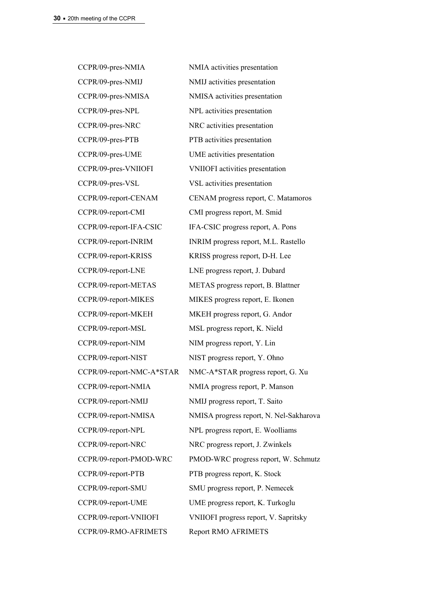CCPR/09-pres-NMIA NMIA activities presentation CCPR/09-pres-NMIJ NMIJ activities presentation CCPR/09-pres-NMISA NMISA activities presentation CCPR/09-pres-NPL NPL activities presentation CCPR/09-pres-NRC NRC activities presentation CCPR/09-pres-PTB PTB activities presentation CCPR/09-pres-UME UME activities presentation CCPR/09-pres-VNIIOFI VNIIOFI activities presentation CCPR/09-pres-VSL VSL activities presentation CCPR/09-report-CMI CMI progress report, M. Smid CCPR/09-report-IFA-CSIC IFA-CSIC progress report, A. Pons CCPR/09-report-INRIM INRIM progress report, M.L. Rastello CCPR/09-report-KRISS KRISS progress report, D-H. Lee CCPR/09-report-LNE LNE progress report, J. Dubard CCPR/09-report-METAS METAS progress report, B. Blattner CCPR/09-report-MIKES MIKES progress report, E. Ikonen CCPR/09-report-MKEH MKEH progress report, G. Andor CCPR/09-report-MSL MSL progress report, K. Nield CCPR/09-report-NIM NIM progress report, Y. Lin CCPR/09-report-NIST NIST progress report, Y. Ohno CCPR/09-report-NMIA NMIA progress report, P. Manson CCPR/09-report-NMIJ NMIJ progress report, T. Saito CCPR/09-report-NPL NPL progress report, E. Woolliams CCPR/09-report-NRC NRC progress report, J. Zwinkels CCPR/09-report-PTB PTB progress report, K. Stock CCPR/09-report-SMU SMU progress report, P. Nemecek CCPR/09-report-UME UME progress report, K. Turkoglu CCPR/09-report-VNIIOFI VNIIOFI progress report, V. Sapritsky CCPR/09-RMO-AFRIMETS Report RMO AFRIMETS

CCPR/09-report-CENAM CENAM progress report, C. Matamoros CCPR/09-report-NMC-A\*STAR NMC-A\*STAR progress report, G. Xu CCPR/09-report-NMISA NMISA progress report, N. Nel-Sakharova CCPR/09-report-PMOD-WRC PMOD-WRC progress report, W. Schmutz